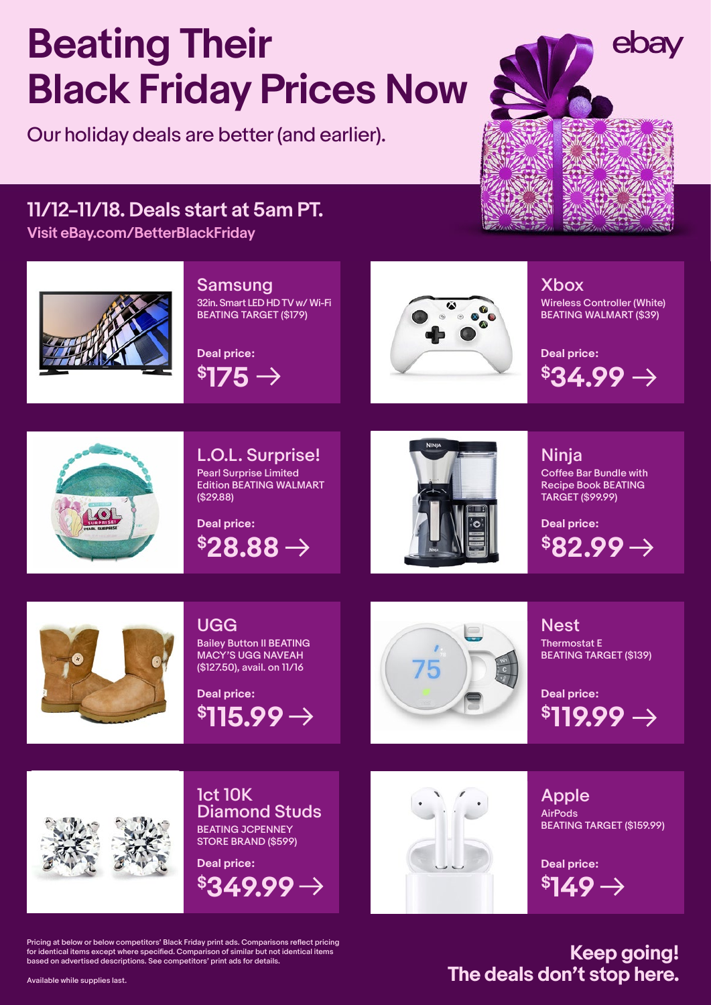# **Beating Their Black Friday Prices Now**

Our holiday deals are better (and earlier).



## **11/12–11/18. Deals start at 5am PT.**

**[Visit eBay.com/BetterBlackFriday](https://www.ebay.com/rpp/dailydealevents/Beating-Black-Friday)**



#### Samsung

32in. Smart LED HD TV w/ Wi-Fi BEATING TARGET (\$179)

**\$175 Deal price:**



#### Xbox

Wireless Controller (White) BEATING WALMART (\$39)

 $\$34.99 \rightarrow$ **Deal price:**



L.O.L. Surprise! Pearl Surprise Limited Edition BEATING WALMART (\$29.88)



Ninja Coffee Bar Bundle with Recipe Book BEATING TARGET (\$99.99)



### UGG Bailey Button II BEATING

MACY'S UGG NAVEAH (\$127.50), avail. on 11/16

 $$115.99 \rightarrow$ **Deal price:**



Nest Thermostat E BEATING TARGET (\$139)

**\$119.99 Deal price:**



1ct 10K Diamond Studs BEATING JCPENNEY STORE BRAND (\$599)

**\$349.99 Deal price:**



Apple AirPods BEATING TARGET (\$159.99)

**\$149 Deal price:**

Pricing at below or below competitors' Black Friday print ads. Comparisons reflect pricing for identical items except where specified. Comparison of similar but not identical items based on advertised descriptions. See competitors' print ads for details.

**Keep going! The deals don't stop here.**